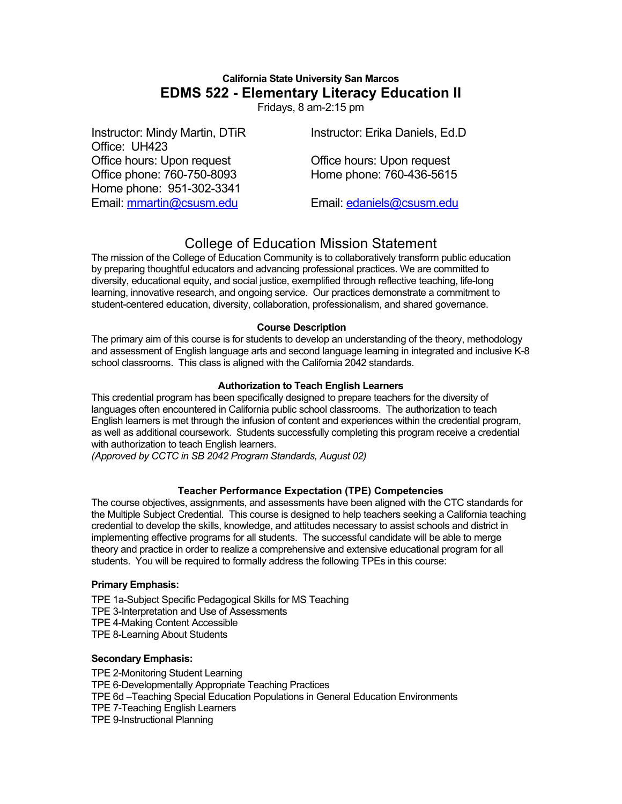# **California State University San Marcos EDMS 522 - Elementary Literacy Education II**

Fridays, 8 am-2:15 pm

| Instructor: Mindy Martin, DTiR | Instructor: Erika Daniels, Ed.D. |
|--------------------------------|----------------------------------|
| Office: UH423                  |                                  |
| Office hours: Upon request     | Office hours: Upon request       |
| Office phone: 760-750-8093     | Home phone: 760-436-5615         |
| Home phone: 951-302-3341       |                                  |
| Email: mmartin@csusm.edu       | Email: edaniels@csusm.edu        |

# College of Education Mission Statement

The mission of the College of Education Community is to collaboratively transform public education by preparing thoughtful educators and advancing professional practices. We are committed to diversity, educational equity, and social justice, exemplified through reflective teaching, life-long learning, innovative research, and ongoing service. Our practices demonstrate a commitment to student-centered education, diversity, collaboration, professionalism, and shared governance.

#### **Course Description**

The primary aim of this course is for students to develop an understanding of the theory, methodology and assessment of English language arts and second language learning in integrated and inclusive K-8 school classrooms. This class is aligned with the California 2042 standards.

#### **Authorization to Teach English Learners**

This credential program has been specifically designed to prepare teachers for the diversity of languages often encountered in California public school classrooms. The authorization to teach English learners is met through the infusion of content and experiences within the credential program, as well as additional coursework. Students successfully completing this program receive a credential with authorization to teach English learners.

*(Approved by CCTC in SB 2042 Program Standards, August 02)*

### **Teacher Performance Expectation (TPE) Competencies**

The course objectives, assignments, and assessments have been aligned with the CTC standards for the Multiple Subject Credential. This course is designed to help teachers seeking a California teaching credential to develop the skills, knowledge, and attitudes necessary to assist schools and district in implementing effective programs for all students. The successful candidate will be able to merge theory and practice in order to realize a comprehensive and extensive educational program for all students. You will be required to formally address the following TPEs in this course:

#### **Primary Emphasis:**

TPE 1a-Subject Specific Pedagogical Skills for MS Teaching TPE 3-Interpretation and Use of Assessments TPE 4-Making Content Accessible TPE 8-Learning About Students

#### **Secondary Emphasis:**

TPE 2-Monitoring Student Learning TPE 6-Developmentally Appropriate Teaching Practices TPE 6d –Teaching Special Education Populations in General Education Environments TPE 7-Teaching English Learners TPE 9-Instructional Planning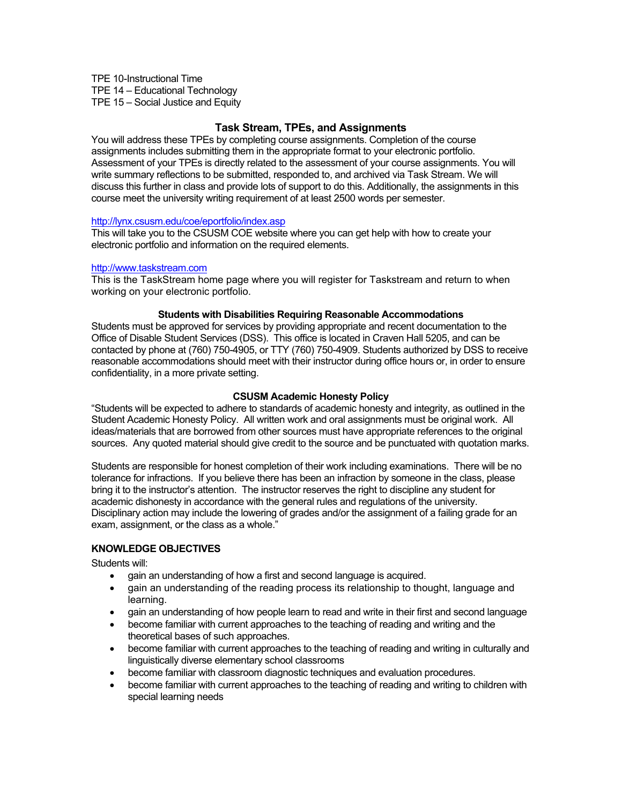TPE 10-Instructional Time TPE 14 – Educational Technology TPE 15 – Social Justice and Equity

## **Task Stream, TPEs, and Assignments**

You will address these TPEs by completing course assignments. Completion of the course assignments includes submitting them in the appropriate format to your electronic portfolio. Assessment of your TPEs is directly related to the assessment of your course assignments. You will write summary reflections to be submitted, responded to, and archived via Task Stream. We will discuss this further in class and provide lots of support to do this. Additionally, the assignments in this course meet the university writing requirement of at least 2500 words per semester.

#### http://lynx.csusm.edu/coe/eportfolio/index.asp

This will take you to the CSUSM COE website where you can get help with how to create your electronic portfolio and information on the required elements.

#### http://www.taskstream.com

This is the TaskStream home page where you will register for Taskstream and return to when working on your electronic portfolio.

#### **Students with Disabilities Requiring Reasonable Accommodations**

Students must be approved for services by providing appropriate and recent documentation to the Office of Disable Student Services (DSS). This office is located in Craven Hall 5205, and can be contacted by phone at (760) 750-4905, or TTY (760) 750-4909. Students authorized by DSS to receive reasonable accommodations should meet with their instructor during office hours or, in order to ensure confidentiality, in a more private setting.

#### **CSUSM Academic Honesty Policy**

"Students will be expected to adhere to standards of academic honesty and integrity, as outlined in the Student Academic Honesty Policy. All written work and oral assignments must be original work. All ideas/materials that are borrowed from other sources must have appropriate references to the original sources. Any quoted material should give credit to the source and be punctuated with quotation marks.

Students are responsible for honest completion of their work including examinations. There will be no tolerance for infractions. If you believe there has been an infraction by someone in the class, please bring it to the instructor's attention. The instructor reserves the right to discipline any student for academic dishonesty in accordance with the general rules and regulations of the university. Disciplinary action may include the lowering of grades and/or the assignment of a failing grade for an exam, assignment, or the class as a whole."

#### **KNOWLEDGE OBJECTIVES**

Students will:

- gain an understanding of how a first and second language is acquired.
- gain an understanding of the reading process its relationship to thought, language and learning.
- gain an understanding of how people learn to read and write in their first and second language
- become familiar with current approaches to the teaching of reading and writing and the theoretical bases of such approaches.
- become familiar with current approaches to the teaching of reading and writing in culturally and linguistically diverse elementary school classrooms
- become familiar with classroom diagnostic techniques and evaluation procedures.
- become familiar with current approaches to the teaching of reading and writing to children with special learning needs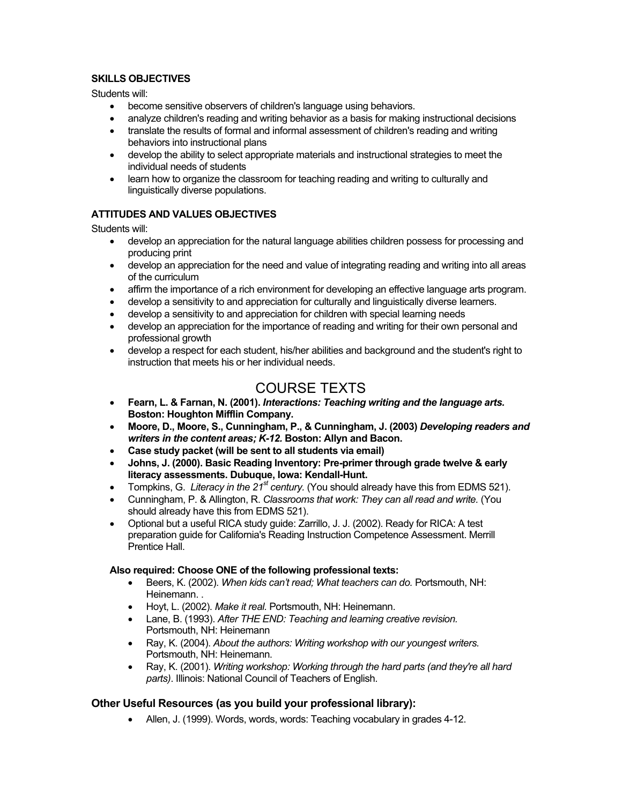### **SKILLS OBJECTIVES**

Students will:

- become sensitive observers of children's language using behaviors.
- analyze children's reading and writing behavior as a basis for making instructional decisions
- translate the results of formal and informal assessment of children's reading and writing behaviors into instructional plans
- develop the ability to select appropriate materials and instructional strategies to meet the individual needs of students
- learn how to organize the classroom for teaching reading and writing to culturally and linguistically diverse populations.

## **ATTITUDES AND VALUES OBJECTIVES**

Students will:

- develop an appreciation for the natural language abilities children possess for processing and producing print
- develop an appreciation for the need and value of integrating reading and writing into all areas of the curriculum
- affirm the importance of a rich environment for developing an effective language arts program.
- develop a sensitivity to and appreciation for culturally and linguistically diverse learners.
- develop a sensitivity to and appreciation for children with special learning needs
- develop an appreciation for the importance of reading and writing for their own personal and professional growth
- develop a respect for each student, his/her abilities and background and the student's right to instruction that meets his or her individual needs.

# COURSE TEXTS

- **Fearn, L. & Farnan, N. (2001).** *Interactions: Teaching writing and the language arts.* **Boston: Houghton Mifflin Company.**
- **Moore, D., Moore, S., Cunningham, P., & Cunningham, J. (2003)** *Developing readers and writers in the content areas; K-12.* **Boston: Allyn and Bacon.**
- **Case study packet (will be sent to all students via email)**
- **Johns, J. (2000). Basic Reading Inventory: Pre-primer through grade twelve & early literacy assessments. Dubuque, Iowa: Kendall-Hunt.**
- Tompkins, G. *Literacy in the 21<sup>st</sup> century.* (You should already have this from EDMS 521).
- Cunningham, P. & Allington, R. *Classrooms that work: They can all read and write.* (You should already have this from EDMS 521).
- Optional but a useful RICA study guide: Zarrillo, J. J. (2002). Ready for RICA: A test preparation guide for California's Reading Instruction Competence Assessment. Merrill Prentice Hall.

### **Also required: Choose ONE of the following professional texts:**

- Beers, K. (2002). *When kids can't read; What teachers can do.* Portsmouth, NH: Heinemann. .
- Hoyt, L. (2002). *Make it real.* Portsmouth, NH: Heinemann.
- Lane, B. (1993). *After THE END: Teaching and learning creative revision.*  Portsmouth, NH: Heinemann
- Ray, K. (2004). *About the authors: Writing workshop with our youngest writers.*  Portsmouth, NH: Heinemann.
- Ray, K. (2001). *Writing workshop: Working through the hard parts (and they're all hard parts)*. Illinois: National Council of Teachers of English.

### **Other Useful Resources (as you build your professional library):**

• Allen, J. (1999). Words, words, words: Teaching vocabulary in grades 4-12.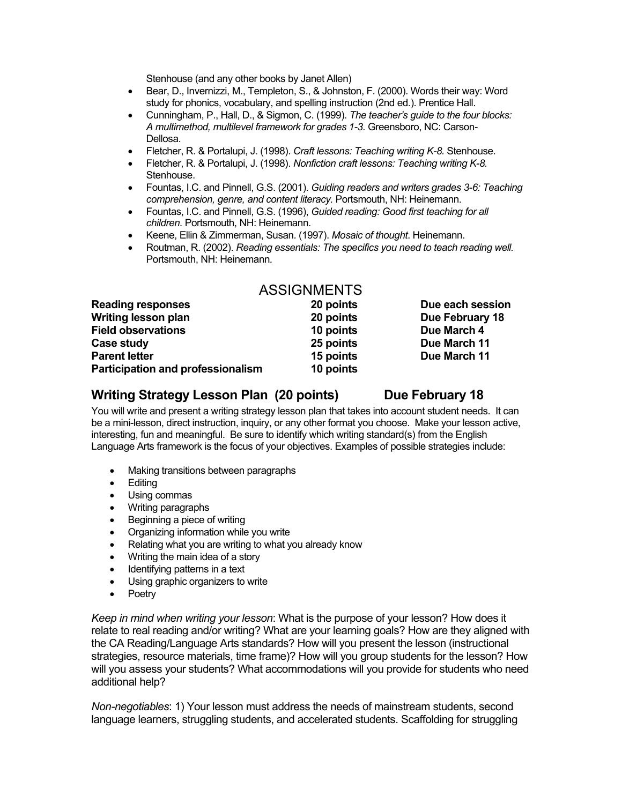Stenhouse (and any other books by Janet Allen)

- Bear, D., Invernizzi, M., Templeton, S., & Johnston, F. (2000). Words their way: Word study for phonics, vocabulary, and spelling instruction (2nd ed.). Prentice Hall.
- Cunningham, P., Hall, D., & Sigmon, C. (1999). *The teacher's guide to the four blocks: A multimethod, multilevel framework for grades 1-3.* Greensboro, NC: Carson-Dellosa.
- Fletcher, R. & Portalupi, J. (1998). *Craft lessons: Teaching writing K-8.* Stenhouse.
- Fletcher, R. & Portalupi, J. (1998). *Nonfiction craft lessons: Teaching writing K-8.*  Stenhouse.
- Fountas, I.C. and Pinnell, G.S. (2001). *Guiding readers and writers grades 3-6: Teaching comprehension, genre, and content literacy.* Portsmouth, NH: Heinemann.
- Fountas, I.C. and Pinnell, G.S. (1996), *Guided reading: Good first teaching for all children.* Portsmouth, NH: Heinemann.
- Keene, Ellin & Zimmerman, Susan. (1997). *Mosaic of thought*. Heinemann.
- Routman, R. (2002). *Reading essentials: The specifics you need to teach reading well.*  Portsmouth, NH: Heinemann.

|                                          | <b>ASSIGNMENTS</b> |                  |
|------------------------------------------|--------------------|------------------|
| <b>Reading responses</b>                 | 20 points          | Due each session |
| Writing lesson plan                      | 20 points          | Due February 18  |
| <b>Field observations</b>                | 10 points          | Due March 4      |
| Case study                               | 25 points          | Due March 11     |
| <b>Parent letter</b>                     | 15 points          | Due March 11     |
| <b>Participation and professionalism</b> | 10 points          |                  |

# Writing Strategy Lesson Plan (20 points) Due February 18

You will write and present a writing strategy lesson plan that takes into account student needs. It can be a mini-lesson, direct instruction, inquiry, or any other format you choose. Make your lesson active, interesting, fun and meaningful. Be sure to identify which writing standard(s) from the English Language Arts framework is the focus of your objectives. Examples of possible strategies include:

- Making transitions between paragraphs
- Editing
- Using commas
- Writing paragraphs
- Beginning a piece of writing
- Organizing information while you write
- Relating what you are writing to what you already know
- Writing the main idea of a story
- Identifying patterns in a text
- Using graphic organizers to write
- Poetry

*Keep in mind when writing your lesson*: What is the purpose of your lesson? How does it relate to real reading and/or writing? What are your learning goals? How are they aligned with the CA Reading/Language Arts standards? How will you present the lesson (instructional strategies, resource materials, time frame)? How will you group students for the lesson? How will you assess your students? What accommodations will you provide for students who need additional help?

*Non-negotiables*: 1) Your lesson must address the needs of mainstream students, second language learners, struggling students, and accelerated students. Scaffolding for struggling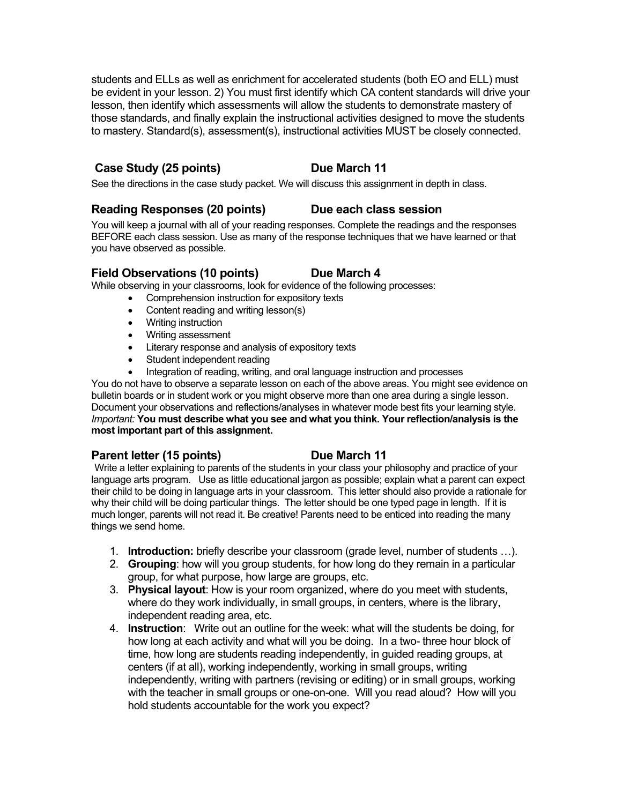students and ELLs as well as enrichment for accelerated students (both EO and ELL) must be evident in your lesson. 2) You must first identify which CA content standards will drive your lesson, then identify which assessments will allow the students to demonstrate mastery of those standards, and finally explain the instructional activities designed to move the students to mastery. Standard(s), assessment(s), instructional activities MUST be closely connected.

# Case Study (25 points) Due March 11

See the directions in the case study packet. We will discuss this assignment in depth in class.

# **Reading Responses (20 points) Due each class session**

You will keep a journal with all of your reading responses. Complete the readings and the responses BEFORE each class session. Use as many of the response techniques that we have learned or that you have observed as possible.

# Field Observations (10 points) Due March 4

While observing in your classrooms, look for evidence of the following processes:

- Comprehension instruction for expository texts
- Content reading and writing lesson(s)
- Writing instruction
- Writing assessment
- Literary response and analysis of expository texts
- Student independent reading
- Integration of reading, writing, and oral language instruction and processes

You do not have to observe a separate lesson on each of the above areas. You might see evidence on bulletin boards or in student work or you might observe more than one area during a single lesson. Document your observations and reflections/analyses in whatever mode best fits your learning style. *Important:* **You must describe what you see and what you think. Your reflection/analysis is the most important part of this assignment.** 

# **Parent letter (15 points)** Due March 11

Write a letter explaining to parents of the students in your class your philosophy and practice of your language arts program. Use as little educational jargon as possible; explain what a parent can expect their child to be doing in language arts in your classroom. This letter should also provide a rationale for why their child will be doing particular things. The letter should be one typed page in length. If it is much longer, parents will not read it. Be creative! Parents need to be enticed into reading the many things we send home.

- 1. **Introduction:** briefly describe your classroom (grade level, number of students …).
- 2. **Grouping**: how will you group students, for how long do they remain in a particular group, for what purpose, how large are groups, etc.
- 3. **Physical layout**: How is your room organized, where do you meet with students, where do they work individually, in small groups, in centers, where is the library, independent reading area, etc.
- 4. **Instruction**: Write out an outline for the week: what will the students be doing, for how long at each activity and what will you be doing. In a two- three hour block of time, how long are students reading independently, in guided reading groups, at centers (if at all), working independently, working in small groups, writing independently, writing with partners (revising or editing) or in small groups, working with the teacher in small groups or one-on-one. Will you read aloud? How will you hold students accountable for the work you expect?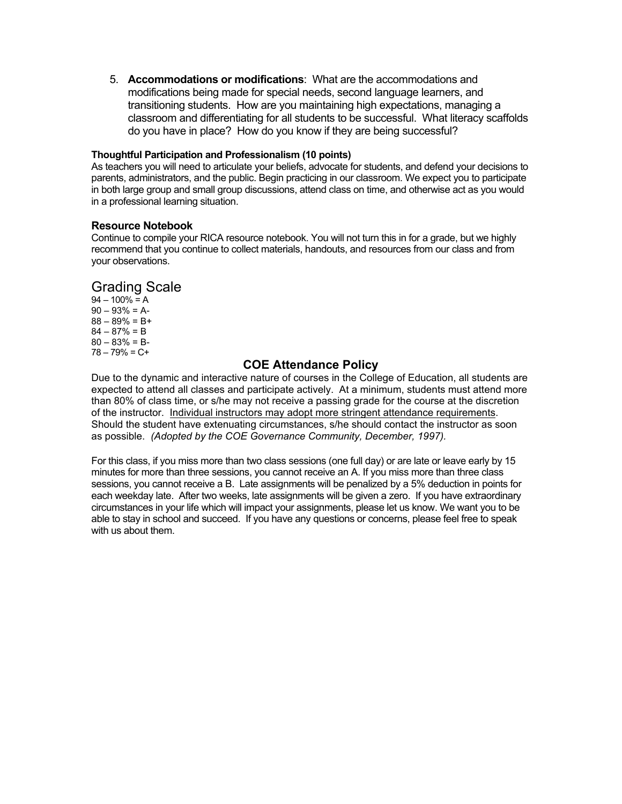5. **Accommodations or modifications**: What are the accommodations and modifications being made for special needs, second language learners, and transitioning students. How are you maintaining high expectations, managing a classroom and differentiating for all students to be successful. What literacy scaffolds do you have in place? How do you know if they are being successful?

#### **Thoughtful Participation and Professionalism (10 points)**

As teachers you will need to articulate your beliefs, advocate for students, and defend your decisions to parents, administrators, and the public. Begin practicing in our classroom. We expect you to participate in both large group and small group discussions, attend class on time, and otherwise act as you would in a professional learning situation.

#### **Resource Notebook**

Continue to compile your RICA resource notebook. You will not turn this in for a grade, but we highly recommend that you continue to collect materials, handouts, and resources from our class and from your observations.

## Grading Scale

 $94 - 100\% = A$  $90 - 93\% = A$  $88 - 89\% = B +$  $84 - 87\% = B$  $80 - 83\% = B$ 78 – 79% = C+

### **COE Attendance Policy**

Due to the dynamic and interactive nature of courses in the College of Education, all students are expected to attend all classes and participate actively. At a minimum, students must attend more than 80% of class time, or s/he may not receive a passing grade for the course at the discretion of the instructor. Individual instructors may adopt more stringent attendance requirements. Should the student have extenuating circumstances, s/he should contact the instructor as soon as possible. *(Adopted by the COE Governance Community, December, 1997).*

For this class, if you miss more than two class sessions (one full day) or are late or leave early by 15 minutes for more than three sessions, you cannot receive an A. If you miss more than three class sessions, you cannot receive a B. Late assignments will be penalized by a 5% deduction in points for each weekday late. After two weeks, late assignments will be given a zero. If you have extraordinary circumstances in your life which will impact your assignments, please let us know. We want you to be able to stay in school and succeed. If you have any questions or concerns, please feel free to speak with us about them.